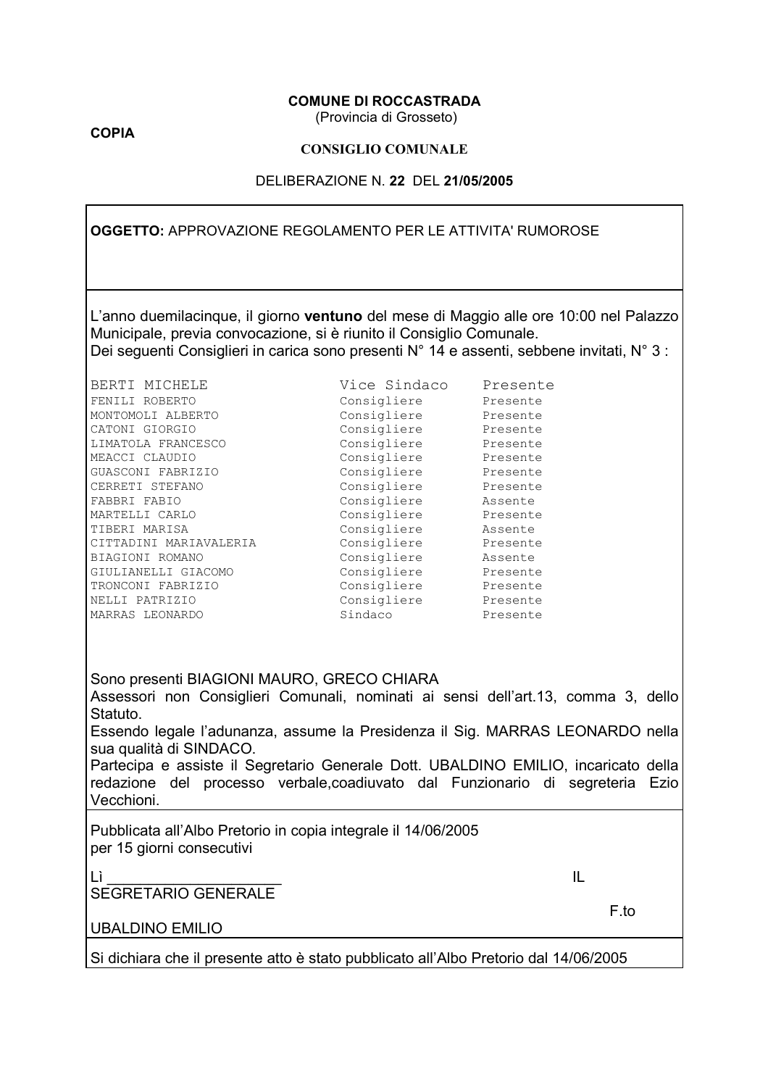#### **COMUNE DI ROCCASTRADA**

(Provincia di Grosseto)

**COPIA** 

#### **CONSIGLIO COMUNALE**

#### DELIBERAZIONE N. 22 DEL 21/05/2005

**OGGETTO: APPROVAZIONE REGOLAMENTO PER LE ATTIVITA' RUMOROSE** 

L'anno duemilacinque, il giorno ventuno del mese di Maggio alle ore 10:00 nel Palazzo Municipale, previa convocazione, si è riunito il Consiglio Comunale. Dei seguenti Consiglieri in carica sono presenti N° 14 e assenti, sebbene invitati, N° 3 :

| BERTI MICHELE          | Vice Sindaco | Presente |
|------------------------|--------------|----------|
| FENILI ROBERTO         | Consigliere  | Presente |
| MONTOMOLI ALBERTO      | Consigliere  | Presente |
| CATONI GIORGIO         | Consigliere  | Presente |
| LIMATOLA FRANCESCO     | Consigliere  | Presente |
| MEACCI CLAUDIO         | Consigliere  | Presente |
| GUASCONI FABRIZIO      | Consigliere  | Presente |
| CERRETI STEFANO        | Consigliere  | Presente |
| FABBRI FABIO           | Consigliere  | Assente  |
| MARTELLI CARLO         | Consigliere  | Presente |
| TIBERI MARISA          | Consigliere  | Assente  |
| CITTADINI MARIAVALERIA | Consigliere  | Presente |
| BIAGIONI ROMANO        | Consigliere  | Assente  |
| GIULIANELLI GIACOMO    | Consigliere  | Presente |
| TRONCONI FABRIZIO      | Consigliere  | Presente |
| NELLI PATRIZIO         | Consigliere  | Presente |
| MARRAS LEONARDO        | Sindaco      | Presente |

Sono presenti BIAGIONI MAURO, GRECO CHIARA

Assessori non Consiglieri Comunali, nominati ai sensi dell'art.13, comma 3, dello Statuto.

Essendo legale l'adunanza, assume la Presidenza il Sig. MARRAS LEONARDO nella sua qualità di SINDACO.

Partecipa e assiste il Segretario Generale Dott. UBALDINO EMILIO, incaricato della redazione del processo verbale, coadiuvato dal Funzionario di segreteria Ezio Vecchioni.

Pubblicata all'Albo Pretorio in copia integrale il 14/06/2005 per 15 giorni consecutivi

IL

SEGRETARIO GENERALE

F.to

**UBALDINO EMILIO** 

Lì.

Si dichiara che il presente atto è stato pubblicato all'Albo Pretorio dal 14/06/2005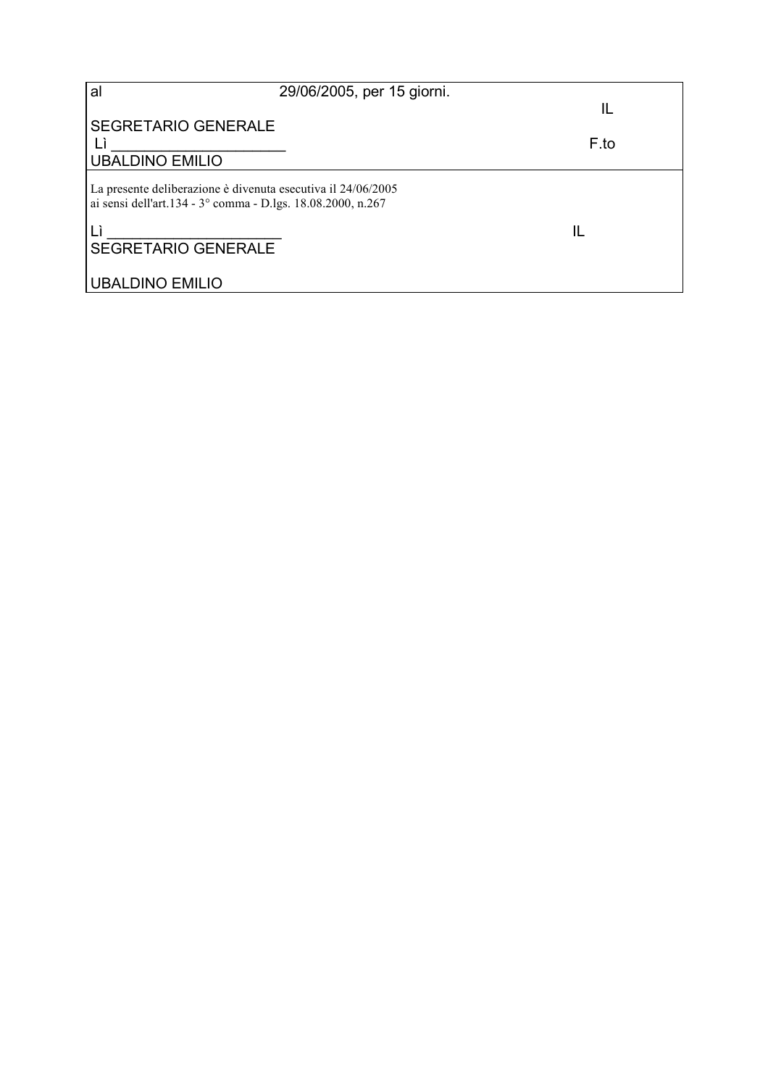| al                                                                                                                          | 29/06/2005, per 15 giorni. | IL   |
|-----------------------------------------------------------------------------------------------------------------------------|----------------------------|------|
| <b>SEGRETARIO GENERALE</b><br><b>UBALDINO EMILIO</b>                                                                        |                            | F.to |
| La presente deliberazione è divenuta esecutiva il 24/06/2005<br>ai sensi dell'art.134 - 3° comma - D.lgs. 18.08.2000, n.267 |                            |      |
| <b>SEGRETARIO GENERALE</b>                                                                                                  |                            | Ш    |
| <b>UBALDINO EMILIO</b>                                                                                                      |                            |      |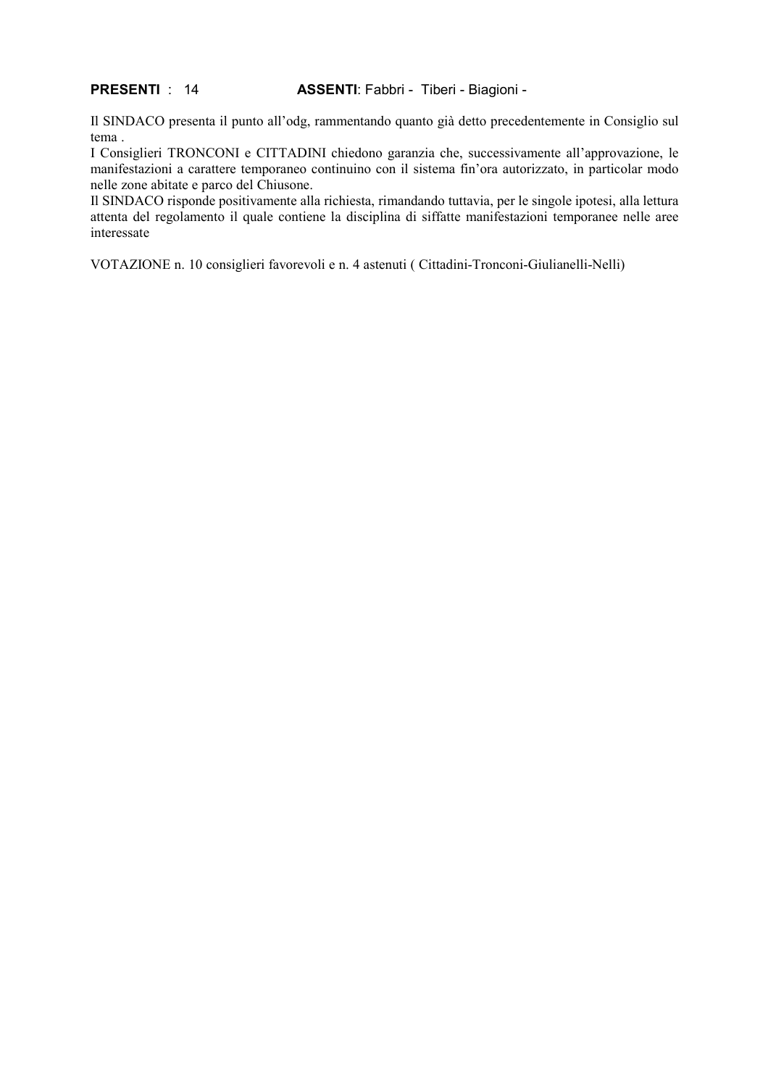#### **PRESENTI: 14** ASSENTI: Fabbri - Tiberi - Biagioni -

Il SINDACO presenta il punto all'odg, rammentando quanto già detto precedentemente in Consiglio sul tema.

I Consiglieri TRONCONI e CITTADINI chiedono garanzia che, successivamente all'approvazione, le manifestazioni a carattere temporaneo continuino con il sistema fin'ora autorizzato, in particolar modo nelle zone abitate e parco del Chiusone.

Il SINDACO risponde positivamente alla richiesta, rimandando tuttavia, per le singole ipotesi, alla lettura attenta del regolamento il quale contiene la disciplina di siffatte manifestazioni temporanee nelle aree interessate

VOTAZIONE n. 10 consiglieri favorevoli e n. 4 astenuti (Cittadini-Tronconi-Giulianelli-Nelli)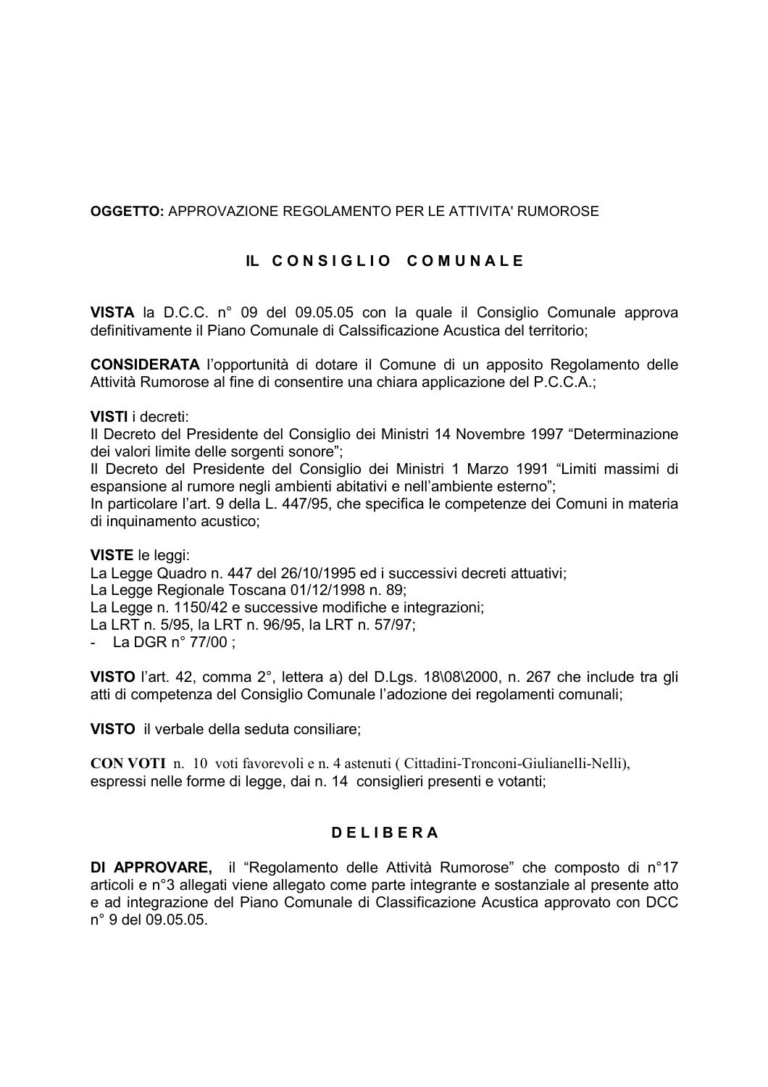#### **OGGETTO: APPROVAZIONE REGOLAMENTO PER LE ATTIVITA' RUMOROSE**

#### IL CONSIGLIO COMUNALE

VISTA la D.C.C. n° 09 del 09.05.05 con la quale il Consiglio Comunale approva definitivamente il Piano Comunale di Calssificazione Acustica del territorio;

**CONSIDERATA** l'opportunità di dotare il Comune di un apposito Regolamento delle Attività Rumorose al fine di consentire una chiara applicazione del P.C.C.A.:

#### **VISTI** i decreti:

Il Decreto del Presidente del Consiglio dei Ministri 14 Novembre 1997 "Determinazione dei valori limite delle sorgenti sonore";

Il Decreto del Presidente del Consiglio dei Ministri 1 Marzo 1991 "Limiti massimi di espansione al rumore negli ambienti abitativi e nell'ambiente esterno";

In particolare l'art. 9 della L. 447/95, che specifica le competenze dei Comuni in materia di inquinamento acustico;

#### **VISTE** le leggi:

La Legge Quadro n. 447 del 26/10/1995 ed i successivi decreti attuativi: La Legge Regionale Toscana 01/12/1998 n. 89: La Legge n. 1150/42 e successive modifiche e integrazioni: La LRT n. 5/95, la LRT n. 96/95, la LRT n. 57/97; - La DGR  $n^{\circ}$  77/00 ;

VISTO l'art. 42, comma 2°, lettera a) del D.Lgs. 18\08\2000, n. 267 che include tra gli atti di competenza del Consiglio Comunale l'adozione dei regolamenti comunali;

VISTO il verbale della seduta consiliare;

**CON VOTI** n. 10 voti favorevoli e n. 4 astenuti (Cittadini-Tronconi-Giulianelli-Nelli). espressi nelle forme di legge, dai n. 14 consiglieri presenti e votanti;

#### **DELIBERA**

DI APPROVARE, il "Regolamento delle Attività Rumorose" che composto di n°17 articoli e n°3 allegati viene allegato come parte integrante e sostanziale al presente atto e ad integrazione del Piano Comunale di Classificazione Acustica approvato con DCC n° 9 del 09.05.05.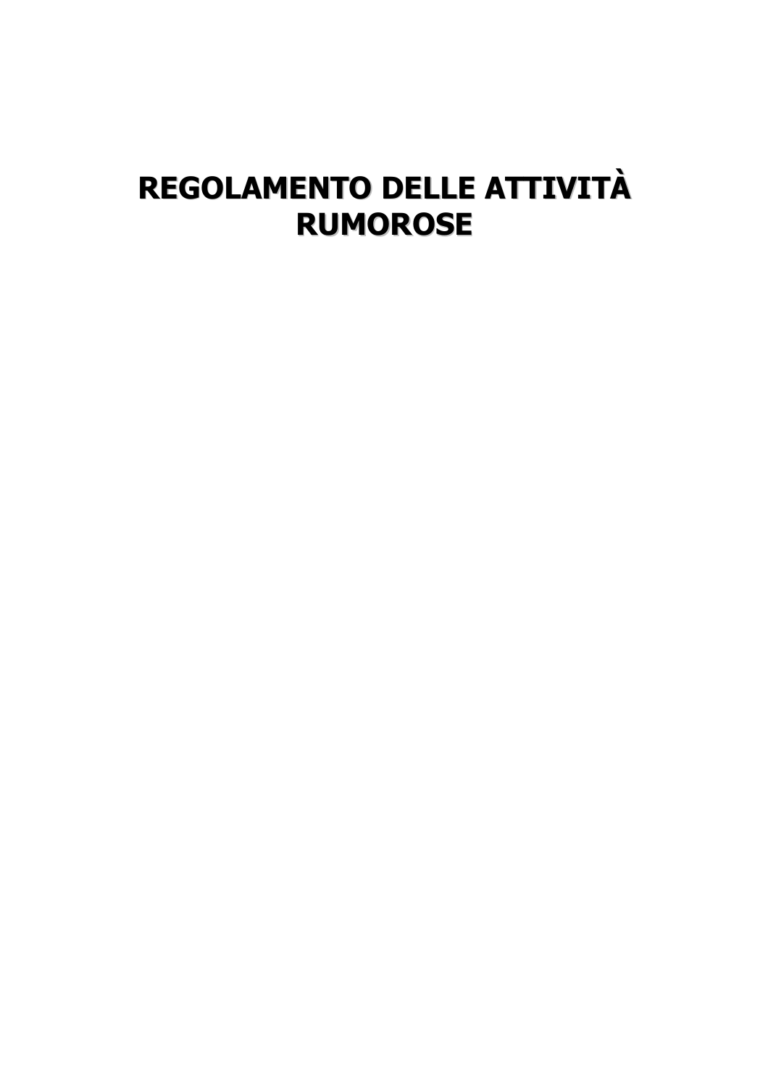# REGOLAMENTO DELLE ATTIVITÀ **RUMOROSE**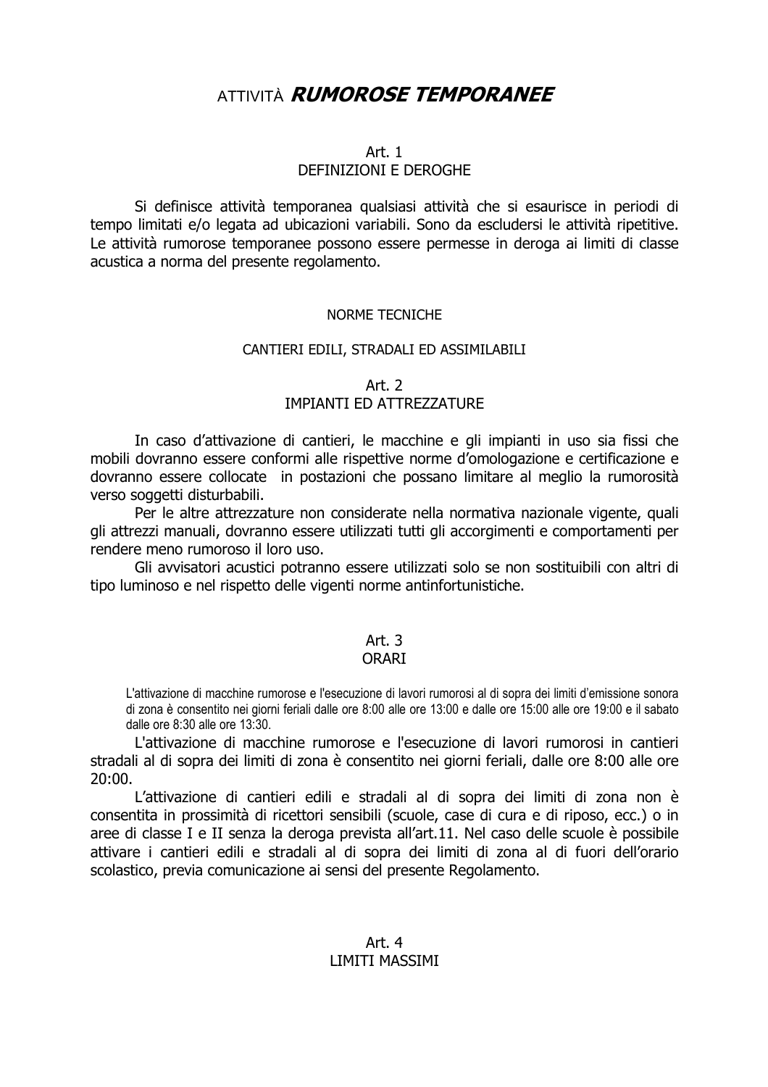## **ATTIVITÀ RUMOROSE TEMPORANEE**

#### Art.  $1$

#### DEFINIZIONI E DEROGHE

Si definisce attività temporanea qualsiasi attività che si esaurisce in periodi di tempo limitati e/o legata ad ubicazioni variabili. Sono da escludersi le attività ripetitive. Le attività rumorose temporanee possono essere permesse in deroga ai limiti di classe acustica a norma del presente regolamento.

#### NORME TECNICHE

#### CANTIERI EDILI, STRADALI ED ASSIMILABILI

#### Art. 2 **IMPIANTI FD ATTRF77ATURF**

In caso d'attivazione di cantieri, le macchine e gli impianti in uso sia fissi che mobili dovranno essere conformi alle rispettive norme d'omologazione e certificazione e dovranno essere collocate in postazioni che possano limitare al meglio la rumorosità verso soggetti disturbabili.

Per le altre attrezzature non considerate nella normativa nazionale vigente, quali gli attrezzi manuali, dovranno essere utilizzati tutti gli accorgimenti e comportamenti per rendere meno rumoroso il loro uso.

Gli avvisatori acustici potranno essere utilizzati solo se non sostituibili con altri di tipo luminoso e nel rispetto delle vigenti norme antinfortunistiche.

### Art.  $3$

#### **ORART**

L'attivazione di macchine rumorose e l'esecuzione di lavori rumorosi al di sopra dei limiti d'emissione sonora di zona è consentito nei giorni feriali dalle ore 8:00 alle ore 13:00 e dalle ore 15:00 alle ore 19:00 e il sabato dalle ore 8:30 alle ore 13:30.

L'attivazione di macchine rumorose e l'esecuzione di lavori rumorosi in cantieri stradali al di sopra dei limiti di zona è consentito nei giorni feriali, dalle ore 8:00 alle ore  $20:00.$ 

L'attivazione di cantieri edili e stradali al di sopra dei limiti di zona non è consentita in prossimità di ricettori sensibili (scuole, case di cura e di riposo, ecc.) o in aree di classe I e II senza la deroga prevista all'art.11. Nel caso delle scuole è possibile attivare i cantieri edili e stradali al di sopra dei limiti di zona al di fuori dell'orario scolastico, previa comunicazione ai sensi del presente Regolamento.

#### Art. 4 **LIMITI MASSIMI**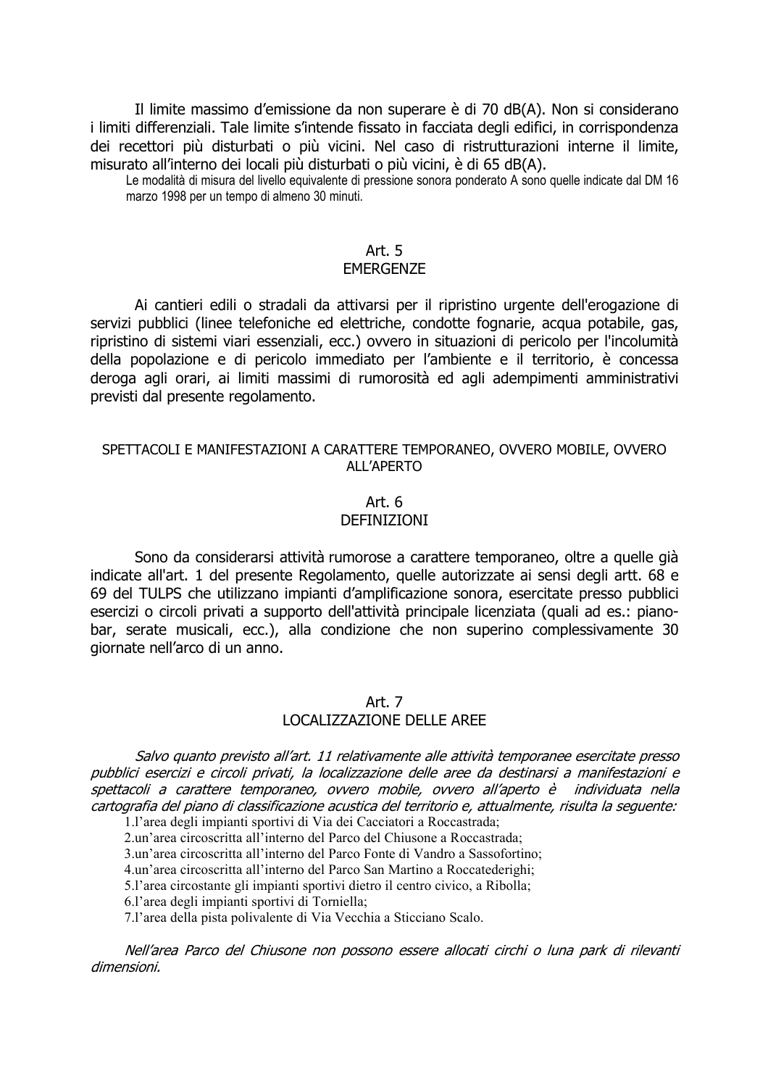Il limite massimo d'emissione da non superare è di 70 dB(A). Non si considerano i limiti differenziali. Tale limite s'intende fissato in facciata degli edifici, in corrispondenza dei recettori più disturbati o più vicini. Nel caso di ristrutturazioni interne il limite, misurato all'interno dei locali più disturbati o più vicini, è di 65 dB(A).

Le modalità di misura del livello equivalente di pressione sonora ponderato A sono quelle indicate dal DM 16 marzo 1998 per un tempo di almeno 30 minuti.

#### Art.  $5$ **FMFRGFN7F**

Ai cantieri edili o stradali da attivarsi per il ripristino urgente dell'erogazione di servizi pubblici (linee telefoniche ed elettriche, condotte fognarie, acqua potabile, gas, ripristino di sistemi viari essenziali, ecc.) ovvero in situazioni di pericolo per l'incolumità della popolazione e di pericolo immediato per l'ambiente e il territorio, è concessa deroga agli orari, ai limiti massimi di rumorosità ed agli adempimenti amministrativi previsti dal presente regolamento.

#### SPETTACOLI E MANIFESTAZIONI A CARATTERE TEMPORANEO, OVVERO MOBILE, OVVERO ALL'APERTO

## Art. 6

#### **DEFINIZIONI**

Sono da considerarsi attività rumorose a carattere temporaneo, oltre a quelle già indicate all'art. 1 del presente Regolamento, quelle autorizzate ai sensi degli artt. 68 e 69 del TULPS che utilizzano impianti d'amplificazione sonora, esercitate presso pubblici esercizi o circoli privati a supporto dell'attività principale licenziata (quali ad es.: pianobar, serate musicali, ecc.), alla condizione che non superino complessivamente 30 giornate nell'arco di un anno.

#### Art. 7 LOCALIZZAZIONE DELLE AREE

Salvo quanto previsto all'art. 11 relativamente alle attività temporanee esercitate presso pubblici esercizi e circoli privati, la localizzazione delle aree da destinarsi a manifestazioni e spettacoli a carattere temporaneo, ovvero mobile, ovvero all'aperto è individuata nella cartografia del piano di classificazione acustica del territorio e, attualmente, risulta la seguente:

1.1'area degli impianti sportivi di Via dei Cacciatori a Roccastrada;

2 un'area circoscritta all'interno del Parco del Chiusone a Roccastrada

3.un'area circoscritta all'interno del Parco Fonte di Vandro a Sassofortino;

4.un'area circoscritta all'interno del Parco San Martino a Roccatederighi:

5.1'area circostante gli impianti sportivi dietro il centro civico, a Ribolla;

6.1'area degli impianti sportivi di Torniella;

7.1'area della pista polivalente di Via Vecchia a Sticciano Scalo.

Nell'area Parco del Chiusone non possono essere allocati circhi o luna park di rilevanti dimensioni.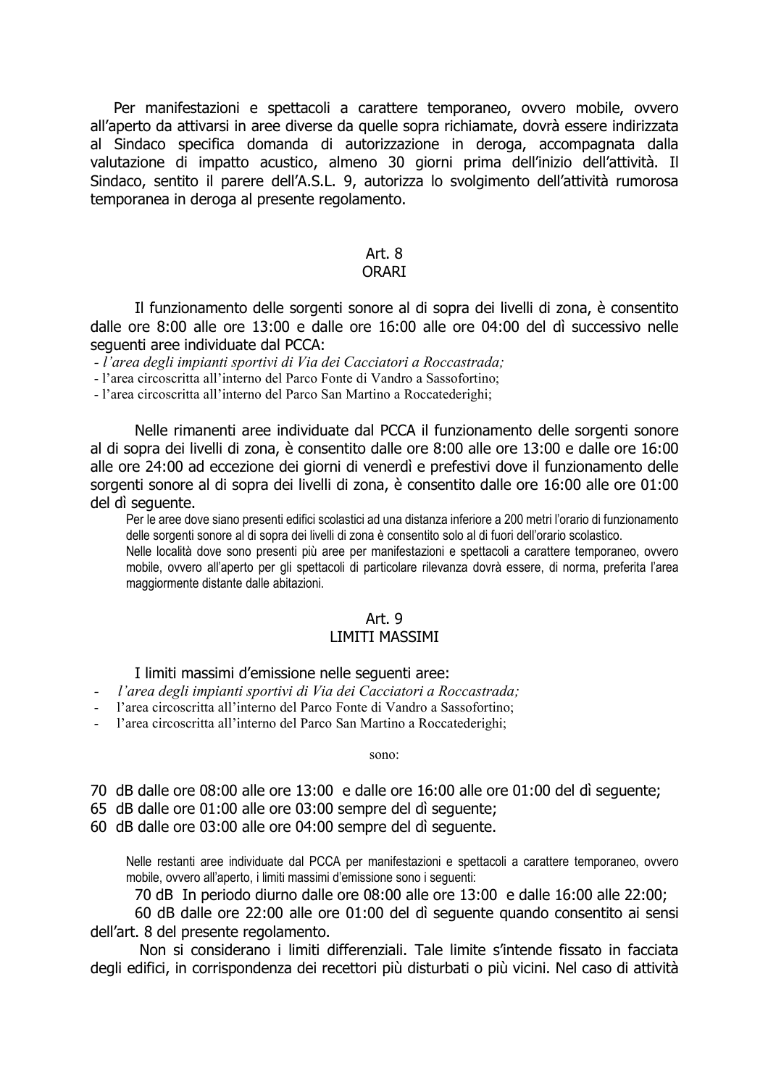Per manifestazioni e spettacoli a carattere temporaneo, ovvero mobile, ovvero all'aperto da attivarsi in aree diverse da quelle sopra richiamate, dovrà essere indirizzata al Sindaco specifica domanda di autorizzazione in deroga, accompagnata dalla valutazione di impatto acustico, almeno 30 giorni prima dell'inizio dell'attività. Il Sindaco, sentito il parere dell'A.S.L. 9, autorizza lo svolgimento dell'attività rumorosa temporanea in deroga al presente regolamento.

## Art.  $8$

**ORARI** 

Il funzionamento delle sorgenti sonore al di sopra dei livelli di zona, è consentito dalle ore 8:00 alle ore 13:00 e dalle ore 16:00 alle ore 04:00 del dì successivo nelle seguenti aree individuate dal PCCA:

- l'area degli impianti sportivi di Via dei Cacciatori a Roccastrada;

- l'area circoscritta all'interno del Parco Fonte di Vandro a Sassofortino;

- l'area circoscritta all'interno del Parco San Martino a Roccatederighi;

Nelle rimanenti aree individuate dal PCCA il funzionamento delle sorgenti sonore al di sopra dei livelli di zona, è consentito dalle ore 8:00 alle ore 13:00 e dalle ore 16:00 alle ore 24:00 ad eccezione dei giorni di venerdì e prefestivi dove il funzionamento delle sorgenti sonore al di sopra dei livelli di zona, è consentito dalle ore 16:00 alle ore 01:00 del dì sequente.

Per le aree dove siano presenti edifici scolastici ad una distanza inferiore a 200 metri l'orario di funzionamento delle sorgenti sonore al di sopra dei livelli di zona è consentito solo al di fuori dell'orario scolastico.

Nelle località dove sono presenti più aree per manifestazioni e spettacoli a carattere temporaneo, ovvero mobile, ovvero all'aperto per gli spettacoli di particolare rilevanza dovrà essere, di norma, preferita l'area maggiormente distante dalle abitazioni.

#### Art. 9 **LIMITI MASSIMI**

#### I limiti massimi d'emissione nelle sequenti aree:

- l'area degli impianti sportivi di Via dei Cacciatori a Roccastrada;
- l'area circoscritta all'interno del Parco Fonte di Vandro a Sassofortino:
- l'area circoscritta all'interno del Parco San Martino a Roccatederighi;

sono:

- 70 dB dalle ore 08:00 alle ore 13:00 e dalle ore 16:00 alle ore 01:00 del di sequente:
- 65 dB dalle ore 01:00 alle ore 03:00 sempre del dì sequente;
- 60 dB dalle ore 03:00 alle ore 04:00 sempre del dì sequente.

Nelle restanti aree individuate dal PCCA per manifestazioni e spettacoli a carattere temporaneo, ovvero mobile, ovvero all'aperto, i limiti massimi d'emissione sono i sequenti:

70 dB In periodo diurno dalle ore 08:00 alle ore 13:00 e dalle 16:00 alle 22:00;

60 dB dalle ore 22:00 alle ore 01:00 del dì sequente quando consentito ai sensi dell'art. 8 del presente regolamento.

Non si considerano i limiti differenziali. Tale limite s'intende fissato in facciata degli edifici, in corrispondenza dei recettori più disturbati o più vicini. Nel caso di attività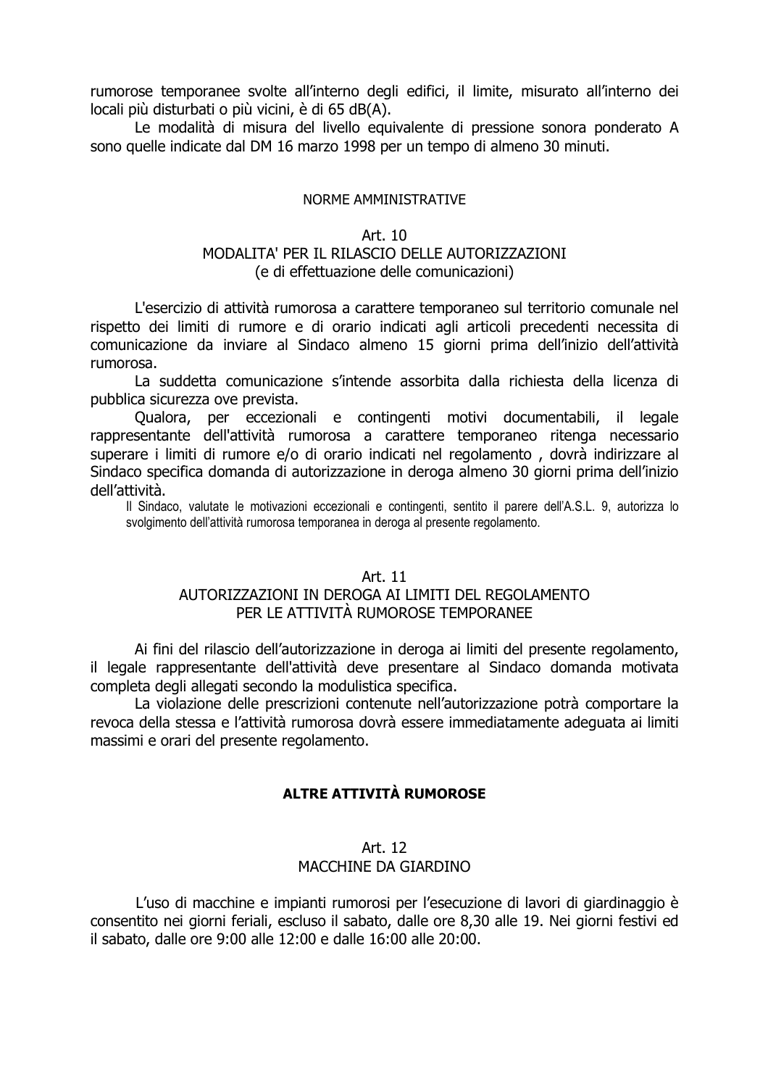rumorose temporanee svolte all'interno degli edifici, il limite, misurato all'interno dei locali più disturbati o più vicini, è di 65 dB(A).

Le modalità di misura del livello equivalente di pressione sonora ponderato A sono quelle indicate dal DM 16 marzo 1998 per un tempo di almeno 30 minuti.

#### NORME AMMINISTRATIVE

#### Art. 10

#### MODALITA' PER IL RILASCIO DELLE AUTORIZZAZIONI (e di effettuazione delle comunicazioni)

L'esercizio di attività rumorosa a carattere temporaneo sul territorio comunale nel rispetto dei limiti di rumore e di orario indicati agli articoli precedenti necessita di comunicazione da inviare al Sindaco almeno 15 giorni prima dell'inizio dell'attività rumorosa.

La suddetta comunicazione s'intende assorbita dalla richiesta della licenza di pubblica sicurezza ove prevista.

Qualora, per eccezionali e contingenti motivi documentabili, il legale rappresentante dell'attività rumorosa a carattere temporaneo ritenga necessario superare i limiti di rumore e/o di orario indicati nel regolamento, dovrà indirizzare al Sindaco specifica domanda di autorizzazione in deroga almeno 30 giorni prima dell'inizio dell'attività.

Il Sindaco, valutate le motivazioni eccezionali e contingenti, sentito il parere dell'A.S.L. 9, autorizza lo svolgimento dell'attività rumorosa temporanea in deroga al presente regolamento.

#### Art. 11

#### AUTORIZZAZIONI IN DEROGA AI LIMITI DEL REGOLAMENTO PER LE ATTIVITÀ RUMOROSE TEMPORANEE

Ai fini del rilascio dell'autorizzazione in deroga ai limiti del presente regolamento, il legale rappresentante dell'attività deve presentare al Sindaco domanda motivata completa degli allegati secondo la modulistica specifica.

La violazione delle prescrizioni contenute nell'autorizzazione potrà comportare la revoca della stessa e l'attività rumorosa dovrà essere immediatamente adequata ai limiti massimi e orari del presente regolamento.

#### ALTRE ATTIVITÀ RUMOROSE

#### Art. 12 MACCHINE DA GIARDINO

L'uso di macchine e impianti rumorosi per l'esecuzione di lavori di giardinaggio è consentito nei giorni feriali, escluso il sabato, dalle ore 8,30 alle 19. Nei giorni festivi ed il sabato, dalle ore 9:00 alle 12:00 e dalle 16:00 alle 20:00.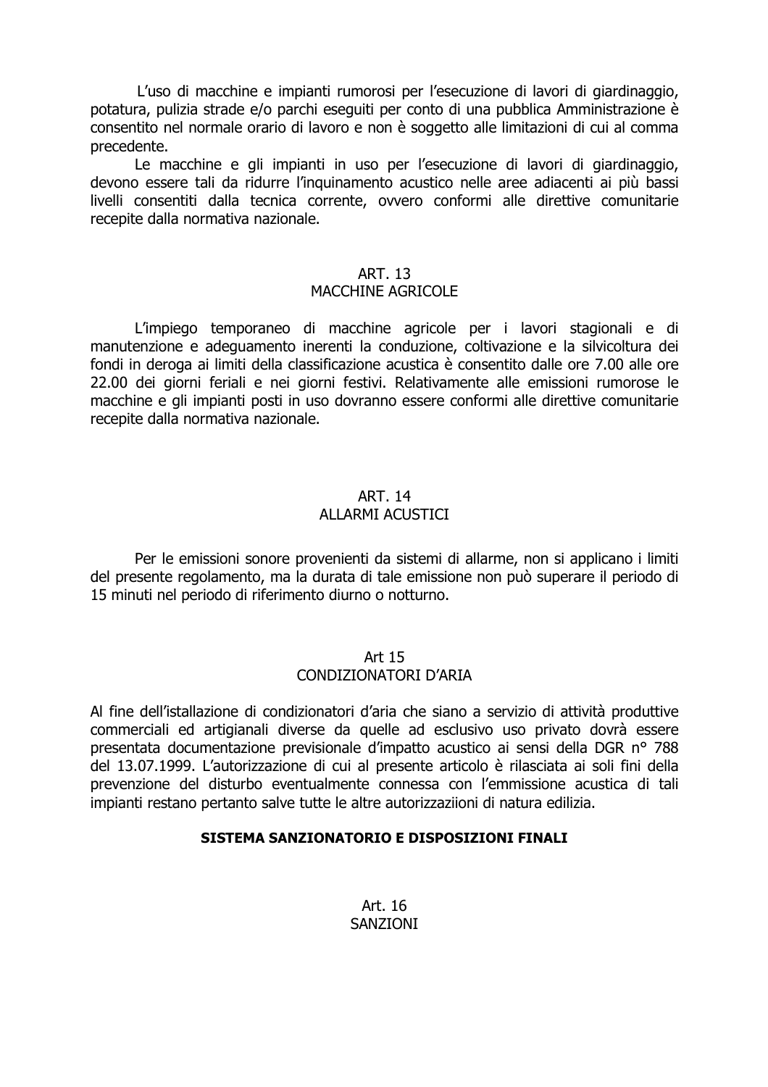L'uso di macchine e impianti rumorosi per l'esecuzione di lavori di giardinaggio, potatura, pulizia strade e/o parchi eseguiti per conto di una pubblica Amministrazione è consentito nel normale orario di lavoro e non è soggetto alle limitazioni di cui al comma precedente.

Le macchine e gli impianti in uso per l'esecuzione di lavori di giardinaggio, devono essere tali da ridurre l'inquinamento acustico nelle aree adiacenti ai più bassi livelli consentiti dalla tecnica corrente, ovvero conformi alle direttive comunitarie recepite dalla normativa nazionale.

#### **ART. 13**

#### MACCHINE AGRICOLE

L'impiego temporaneo di macchine agricole per i lavori stagionali e di manutenzione e adequamento inerenti la conduzione, coltivazione e la silvicoltura dei fondi in deroga ai limiti della classificazione acustica è consentito dalle ore 7.00 alle ore 22.00 dei giorni feriali e nei giorni festivi. Relativamente alle emissioni rumorose le macchine e gli impianti posti in uso dovranno essere conformi alle direttive comunitarie recepite dalla normativa nazionale.

#### **ART. 14**

#### ALLARMI ACUSTICI

Per le emissioni sonore provenienti da sistemi di allarme, non si applicano i limiti del presente regolamento, ma la durata di tale emissione non può superare il periodo di 15 minuti nel periodo di riferimento diurno o notturno.

#### Art 15

#### CONDIZIONATORI D'ARIA

Al fine dell'istallazione di condizionatori d'aria che siano a servizio di attività produttive commerciali ed artigianali diverse da quelle ad esclusivo uso privato dovrà essere presentata documentazione previsionale d'impatto acustico ai sensi della DGR nº 788 del 13.07.1999. L'autorizzazione di cui al presente articolo è rilasciata ai soli fini della prevenzione del disturbo eventualmente connessa con l'emmissione acustica di tali impianti restano pertanto salve tutte le altre autorizzaziioni di natura edilizia.

#### SISTEMA SANZIONATORIO E DISPOSIZIONI FINALI

Art. 16 SANZIONI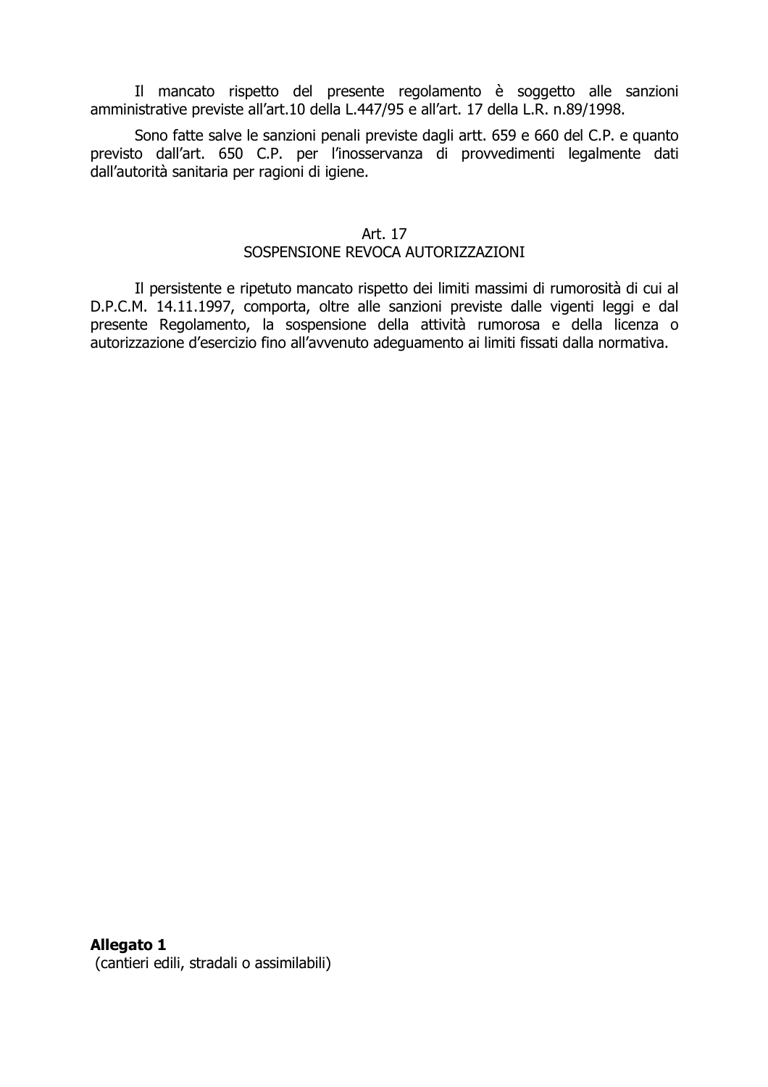Il mancato rispetto del presente regolamento è soggetto alle sanzioni amministrative previste all'art.10 della L.447/95 e all'art. 17 della L.R. n.89/1998.

Sono fatte salve le sanzioni penali previste dagli artt. 659 e 660 del C.P. e quanto previsto dall'art. 650 C.P. per l'inosservanza di provvedimenti legalmente dati dall'autorità sanitaria per ragioni di igiene.

#### Art. 17

#### SOSPENSIONE REVOCA AUTORIZZAZIONI

Il persistente e ripetuto mancato rispetto dei limiti massimi di rumorosità di cui al D.P.C.M. 14.11.1997, comporta, oltre alle sanzioni previste dalle vigenti leggi e dal presente Regolamento, la sospensione della attività rumorosa e della licenza o autorizzazione d'esercizio fino all'avvenuto adeguamento ai limiti fissati dalla normativa.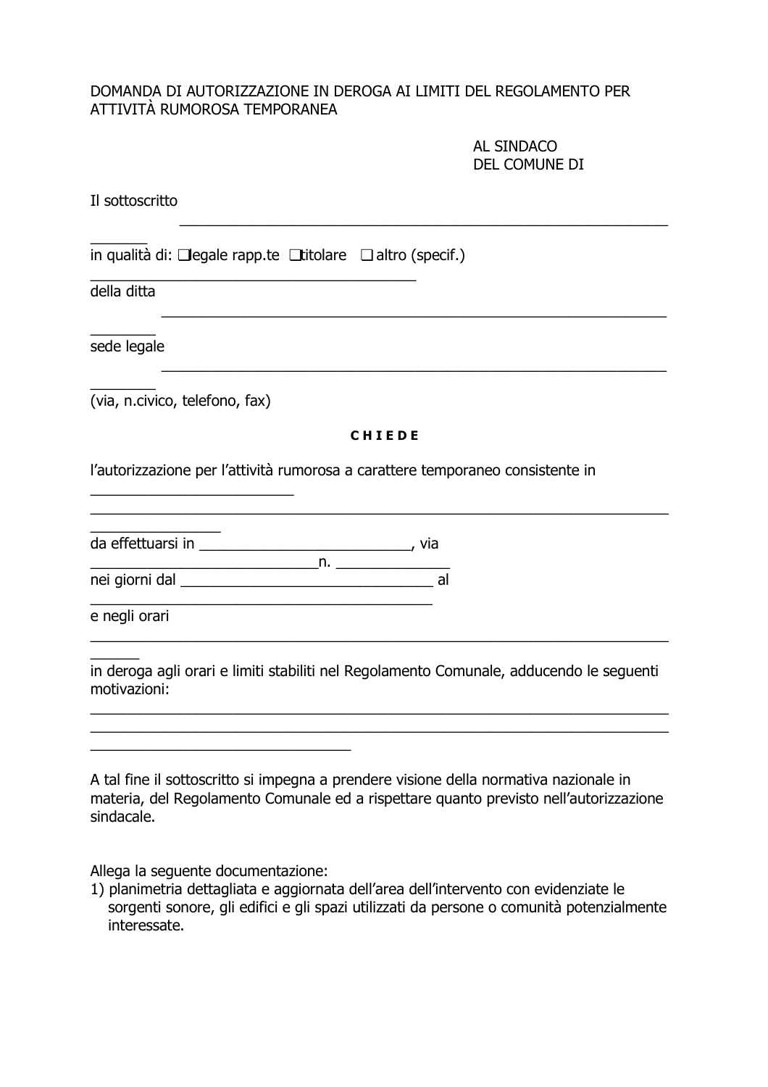#### DOMANDA DI AUTORIZZAZIONE IN DEROGA AI LIMITI DEL REGOLAMENTO PER ATTIVITÀ RUMOROSA TEMPORANEA

AL SINDACO DEL COMUNE DI

| Il sottoscritto                                                                                                                                                                              |
|----------------------------------------------------------------------------------------------------------------------------------------------------------------------------------------------|
| in qualità di: $\Box$ legale rapp.te $\Box$ titolare $\Box$ altro (specif.)                                                                                                                  |
| della ditta                                                                                                                                                                                  |
| sede legale                                                                                                                                                                                  |
| (via, n.civico, telefono, fax)                                                                                                                                                               |
| <b>CHIEDE</b>                                                                                                                                                                                |
| l'autorizzazione per l'attività rumorosa a carattere temporaneo consistente in                                                                                                               |
|                                                                                                                                                                                              |
|                                                                                                                                                                                              |
| e negli orari                                                                                                                                                                                |
| in deroga agli orari e limiti stabiliti nel Regolamento Comunale, adducendo le seguenti<br>motivazioni:                                                                                      |
|                                                                                                                                                                                              |
|                                                                                                                                                                                              |
| A tal fine il sottoscritto si impegna a prendere visione della normativa nazionale in<br>materia, del Regolamento Comunale ed a rispettare quanto previsto nell'autorizzazione<br>sindacale. |

Allega la seguente documentazione:

1) planimetria dettagliata e aggiornata dell'area dell'intervento con evidenziate le<br>sorgenti sonore, gli edifici e gli spazi utilizzati da persone o comunità potenzialmente interessate.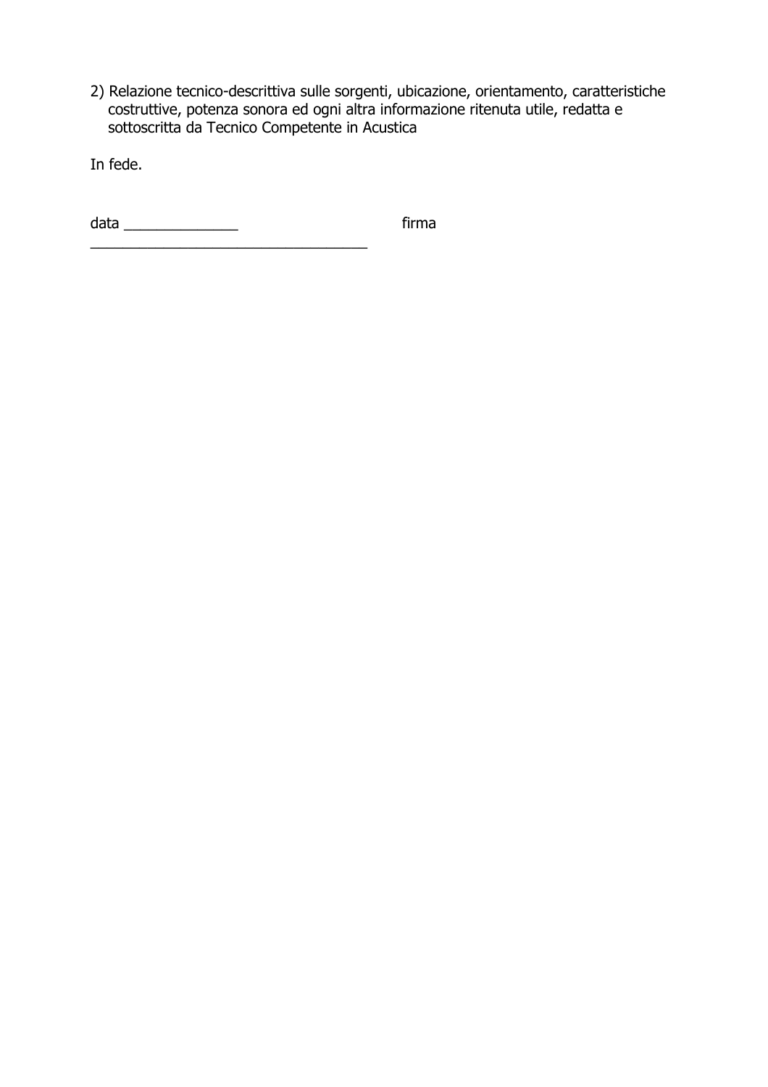2) Relazione tecnico-descrittiva sulle sorgenti, ubicazione, orientamento, caratteristiche costruttive, potenza sonora ed ogni altra informazione ritenuta utile, redatta e southance, peternal seriors of ogni didamnomis

In fede.

firma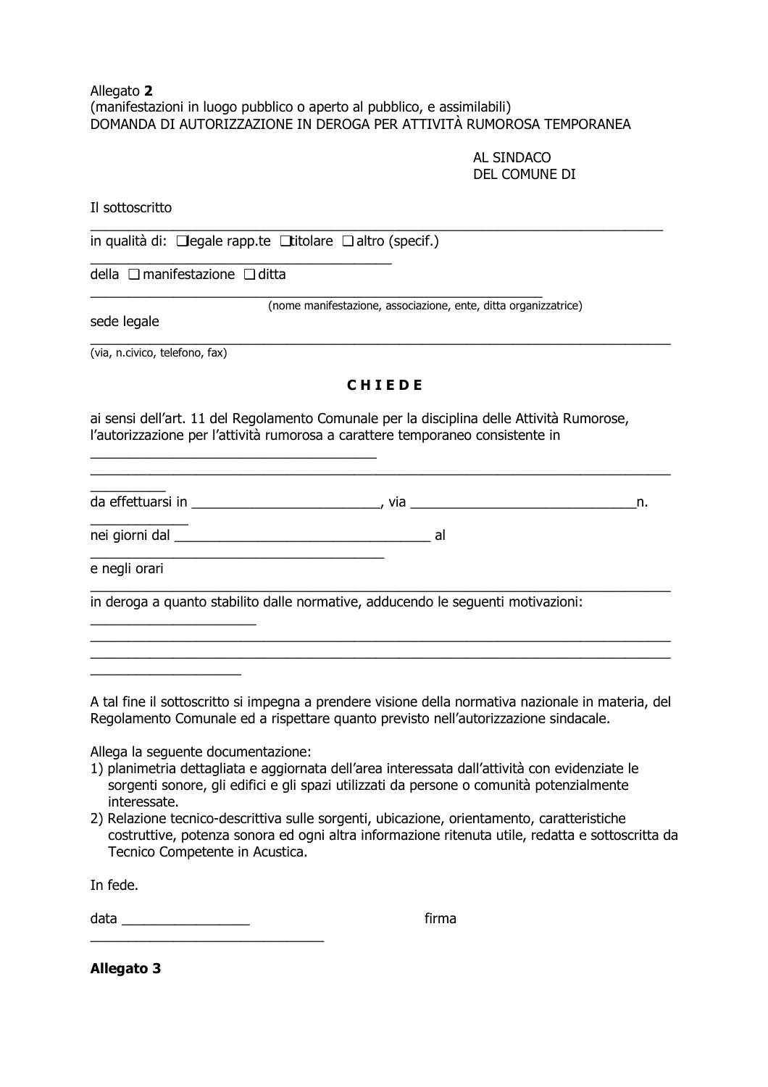#### Allegato 2 (manifestazioni in luogo pubblico o aperto al pubblico, e assimilabili) DOMANDA DI AUTORIZZAZIONE IN DEROGA PER ATTIVITÀ RUMOROSA TEMPORANEA

#### AL SINDACO DEL COMUNE DI

Il sottoscritto

in qualità di:  $\Box$ legale rapp.te  $\Box$ titolare  $\Box$  altro (specif.)

della □ manifestazione □ ditta

sede legale

(nome manifestazione, associazione, ente, ditta organizzatrice)

(via, n.civico, telefono, fax)

#### CHIEDE

ai sensi dell'art. 11 del Regolamento Comunale per la disciplina delle Attività Rumorose, l'autorizzazione per l'attività rumorosa a carattere temporaneo consistente in

da effettuarsi in a subsettuar e subsettuar e subsettuar e subsettuar e subsettuar e subsettuar e subsettuar e

e negli orari

in deroga a quanto stabilito dalle normative, adducendo le seguenti motivazioni:

A tal fine il sottoscritto si impegna a prendere visione della normativa nazionale in materia, del Regolamento Comunale ed a rispettare quanto previsto nell'autorizzazione sindacale.

Allega la seguente documentazione:

- 1) planimetria dettagliata e aggiornata dell'area interessata dall'attività con evidenziate le sorgenti sonore, gli edifici e gli spazi utilizzati da persone o comunità potenzialmente interessate.
- 2) Relazione tecnico-descrittiva sulle sorgenti, ubicazione, orientamento, caratteristiche costruttive, potenza sonora ed ogni altra informazione ritenuta utile, redatta e sottoscritta da Tecnico Competente in Acustica.

In fede.

data  $\qquad \qquad$ 

firma

**Allegato 3**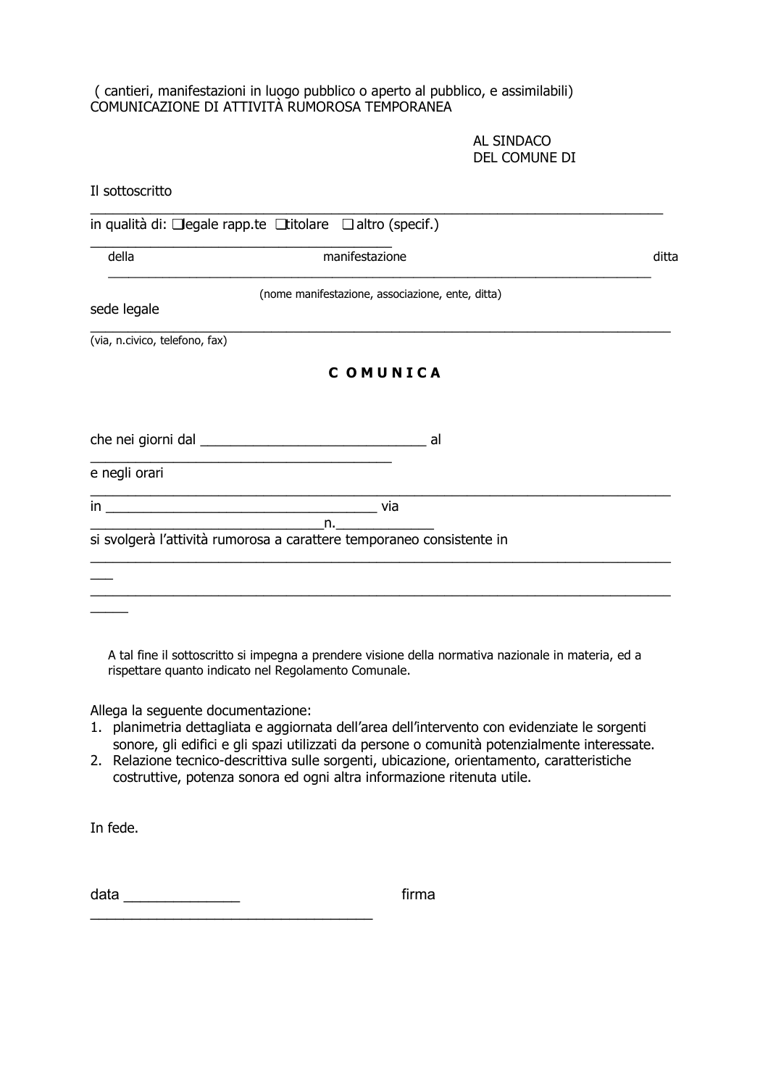#### (cantieri, manifestazioni in luogo pubblico o aperto al pubblico, e assimilabili) COMUNICAZIONE DI ATTIVITÀ RUMOROSA TEMPORANEA

AL SINDACO DEL COMUNE DI

| Il sottoscritto                    |                                                                                                                                                                                                                                                                                                                                                                                                                                                                                                                                                                                                                                                             |       |
|------------------------------------|-------------------------------------------------------------------------------------------------------------------------------------------------------------------------------------------------------------------------------------------------------------------------------------------------------------------------------------------------------------------------------------------------------------------------------------------------------------------------------------------------------------------------------------------------------------------------------------------------------------------------------------------------------------|-------|
|                                    | in qualità di: □ legale rapp.te □ titolare □ altro (specif.)                                                                                                                                                                                                                                                                                                                                                                                                                                                                                                                                                                                                |       |
| della                              | manifestazione                                                                                                                                                                                                                                                                                                                                                                                                                                                                                                                                                                                                                                              | ditta |
| sede legale                        | (nome manifestazione, associazione, ente, ditta)                                                                                                                                                                                                                                                                                                                                                                                                                                                                                                                                                                                                            |       |
| (via, n.civico, telefono, fax)     |                                                                                                                                                                                                                                                                                                                                                                                                                                                                                                                                                                                                                                                             |       |
|                                    | COMUNICA                                                                                                                                                                                                                                                                                                                                                                                                                                                                                                                                                                                                                                                    |       |
|                                    |                                                                                                                                                                                                                                                                                                                                                                                                                                                                                                                                                                                                                                                             |       |
| e negli orari                      |                                                                                                                                                                                                                                                                                                                                                                                                                                                                                                                                                                                                                                                             |       |
|                                    | <u> 1989 - Johann John Stein, markin fan it fjort fan it fjort fan it fjort fan it fjort fan it fjort fan it fjort fan it fjort fan it fjort fan it fjort fan it fjort fan it fjort fan it fjort fan it fjort fan it fjort fan i</u><br>$\overline{\phantom{a}}$ and $\overline{\phantom{a}}$ and $\overline{\phantom{a}}$ and $\overline{\phantom{a}}$ and $\overline{\phantom{a}}$ and $\overline{\phantom{a}}$ and $\overline{\phantom{a}}$ and $\overline{\phantom{a}}$ and $\overline{\phantom{a}}$ and $\overline{\phantom{a}}$ and $\overline{\phantom{a}}$ and $\overline{\phantom{a}}$ and $\overline{\phantom{a}}$ and $\overline{\phantom{a}}$ a |       |
|                                    | si svolgerà l'attività rumorosa a carattere temporaneo consistente in                                                                                                                                                                                                                                                                                                                                                                                                                                                                                                                                                                                       |       |
|                                    |                                                                                                                                                                                                                                                                                                                                                                                                                                                                                                                                                                                                                                                             |       |
|                                    |                                                                                                                                                                                                                                                                                                                                                                                                                                                                                                                                                                                                                                                             |       |
|                                    | A tal fine il sottoscritto si impegna a prendere visione della normativa nazionale in materia, ed a<br>rispettare quanto indicato nel Regolamento Comunale.                                                                                                                                                                                                                                                                                                                                                                                                                                                                                                 |       |
| Allega la seguente documentazione: |                                                                                                                                                                                                                                                                                                                                                                                                                                                                                                                                                                                                                                                             |       |

- 1. planimetria dettagliata e aggiornata dell'area dell'intervento con evidenziate le sorgenti sonore, gli edifici e gli spazi utilizzati da persone o comunità potenzialmente interessate.
- 2. Relazione tecnico-descrittiva sulle sorgenti, ubicazione, orientamento, caratteristiche costruttive, potenza sonora ed ogni altra informazione ritenuta utile.

In fede.

firma